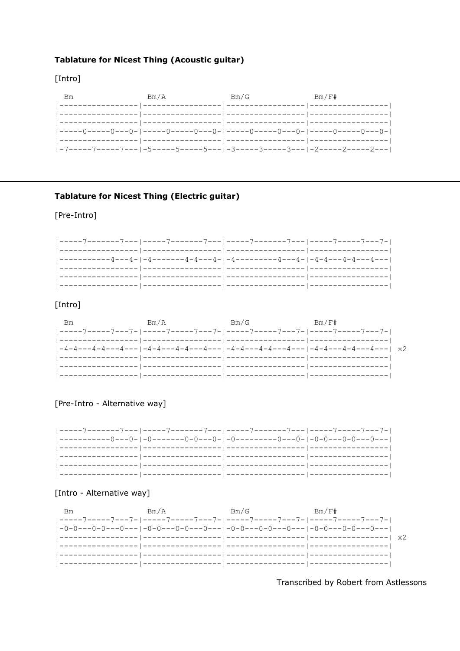## **Tablature for Nicest Thing (Acoustic guitar)**

## [Intro]

| Bm | Bm/A                                                                         | Bm/G | Bm/F# |
|----|------------------------------------------------------------------------------|------|-------|
|    |                                                                              |      |       |
|    |                                                                              |      |       |
|    | -----0-----0----0- -----0------0---0- -----0----0---0- -----0----0----0---0- |      |       |
|    |                                                                              |      |       |
|    | -7-----7-----7---- -5-----5-----5---- -3-----3---- -2------2-----2----       |      |       |

### **Tablature for Nicest Thing (Electric guitar)**

### [Pre-Intro]



## [Intro]

| Вm | Bm/A | Bm/G | Bm/F#                                                                                           |
|----|------|------|-------------------------------------------------------------------------------------------------|
|    |      |      |                                                                                                 |
|    |      |      |                                                                                                 |
|    |      |      | $1-4-4-2-4-4-2-4-1$ $-1-4-4-4-2-4-4-2-1$ $-1-4-4-2-2-4-4-2-1$ $-4-2-1-4-4-2-2-4-2-1$ $\times 2$ |
|    |      |      |                                                                                                 |
|    |      |      |                                                                                                 |
|    |      |      |                                                                                                 |

#### [Pre-Intro - Alternative way]



#### [Intro - Alternative way]



Transcribed by Robert from Astlessons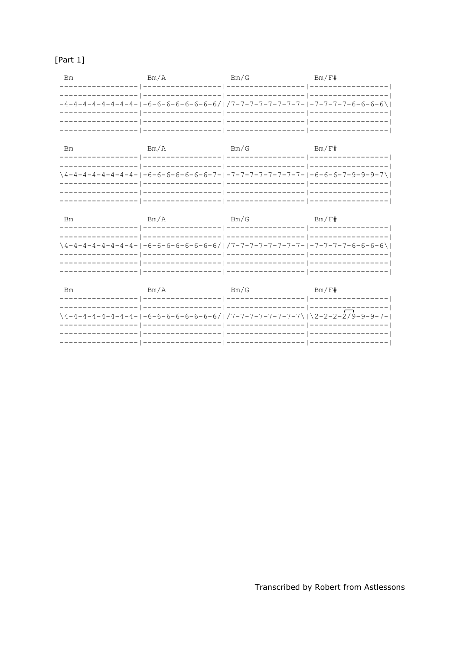# $[Part 1]$

| Bm | Bm/A                                                                      | Bm/G               | Bm/F#            |
|----|---------------------------------------------------------------------------|--------------------|------------------|
|    |                                                                           |                    |                  |
|    | -----------------                                                         | ------------------ |                  |
|    | $1-4-4-4-4-4-4-4-4-1-6-6-6-6-6-6-6-6/1/7-7-7-7-7-7-7-7-1-7-7-7-7-6-6-6-6$ |                    |                  |
|    | ----------------                                                          | _________________  | ---------------- |
|    |                                                                           |                    |                  |
|    |                                                                           |                    |                  |

| Bm | Bm/A       | Bm/G                                                                    | Bm/F# |
|----|------------|-------------------------------------------------------------------------|-------|
|    |            |                                                                         |       |
|    |            | \4-4-4-4-4-4-4-4-1-6-6-6-6-6-6-6-7- -7-7-7-7-7-7-7-7-1-6-6-6-7-9-9-9-7\ |       |
|    | ---------- | . _ _ _ _ _ _ _ _ _ _ _                                                 |       |
|    |            |                                                                         |       |

| Bm | Bm/A           | Bm/G                                                                      | Bm/F#         |
|----|----------------|---------------------------------------------------------------------------|---------------|
|    |                |                                                                           |               |
|    |                | \4-4-4-4-4-4-4-4-1-6-6-6-6-6-6-6-6/   /7-7-7-7-7-7-7-7-7-1-7-7-7-6-6-6-6\ |               |
|    | -------------- |                                                                           | _____________ |
|    |                |                                                                           |               |

| Bm | Bm/A | Bm/G                                                                                                     | Bm/F# |
|----|------|----------------------------------------------------------------------------------------------------------|-------|
|    |      |                                                                                                          |       |
|    |      |                                                                                                          |       |
|    |      | $\left  \left( 4-4-4-4-4-4-4-4-1-6-6-6-6-6-6-6-6 \right)/\right $ /7-7-7-7-7-7-7-7-7\ \2-2-2-2\9-9-9-7-1 |       |
|    |      |                                                                                                          |       |
|    |      |                                                                                                          |       |
|    |      |                                                                                                          |       |